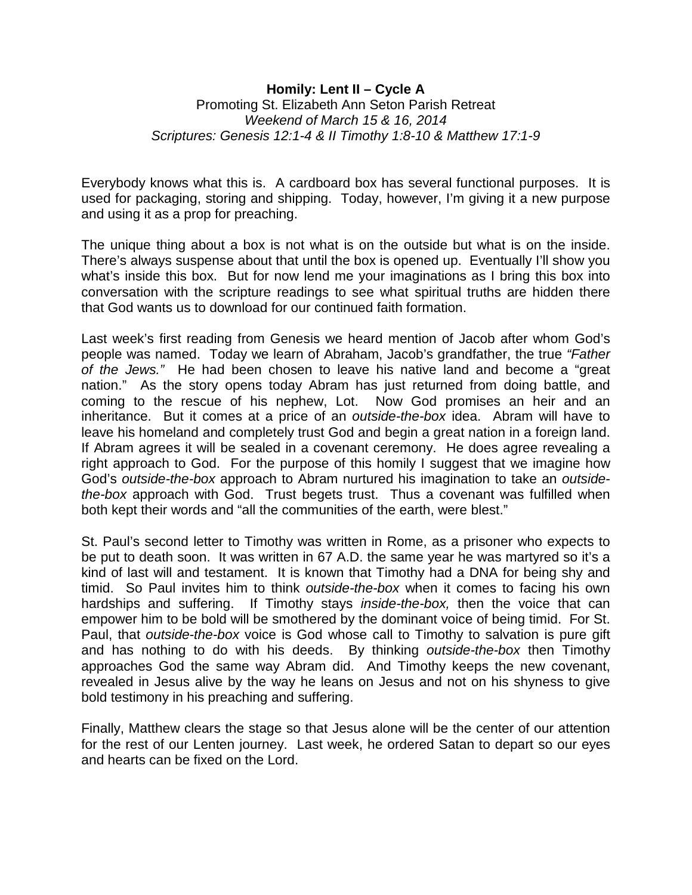## **Homily: Lent II – Cycle A** Promoting St. Elizabeth Ann Seton Parish Retreat *Weekend of March 15 & 16, 2014 Scriptures: Genesis 12:1-4 & II Timothy 1:8-10 & Matthew 17:1-9*

Everybody knows what this is. A cardboard box has several functional purposes. It is used for packaging, storing and shipping. Today, however, I'm giving it a new purpose and using it as a prop for preaching.

The unique thing about a box is not what is on the outside but what is on the inside. There's always suspense about that until the box is opened up. Eventually I'll show you what's inside this box. But for now lend me your imaginations as I bring this box into conversation with the scripture readings to see what spiritual truths are hidden there that God wants us to download for our continued faith formation.

Last week's first reading from Genesis we heard mention of Jacob after whom God's people was named. Today we learn of Abraham, Jacob's grandfather, the true *"Father of the Jews."* He had been chosen to leave his native land and become a "great nation." As the story opens today Abram has just returned from doing battle, and coming to the rescue of his nephew, Lot. Now God promises an heir and an inheritance. But it comes at a price of an *outside-the-box* idea. Abram will have to leave his homeland and completely trust God and begin a great nation in a foreign land. If Abram agrees it will be sealed in a covenant ceremony. He does agree revealing a right approach to God. For the purpose of this homily I suggest that we imagine how God's *outside-the-box* approach to Abram nurtured his imagination to take an *outsidethe-box* approach with God. Trust begets trust. Thus a covenant was fulfilled when both kept their words and "all the communities of the earth, were blest."

St. Paul's second letter to Timothy was written in Rome, as a prisoner who expects to be put to death soon. It was written in 67 A.D. the same year he was martyred so it's a kind of last will and testament. It is known that Timothy had a DNA for being shy and timid. So Paul invites him to think *outside-the-box* when it comes to facing his own hardships and suffering. If Timothy stays *inside-the-box,* then the voice that can empower him to be bold will be smothered by the dominant voice of being timid. For St. Paul, that *outside-the-box* voice is God whose call to Timothy to salvation is pure gift and has nothing to do with his deeds. By thinking *outside-the-box* then Timothy approaches God the same way Abram did. And Timothy keeps the new covenant, revealed in Jesus alive by the way he leans on Jesus and not on his shyness to give bold testimony in his preaching and suffering.

Finally, Matthew clears the stage so that Jesus alone will be the center of our attention for the rest of our Lenten journey. Last week, he ordered Satan to depart so our eyes and hearts can be fixed on the Lord.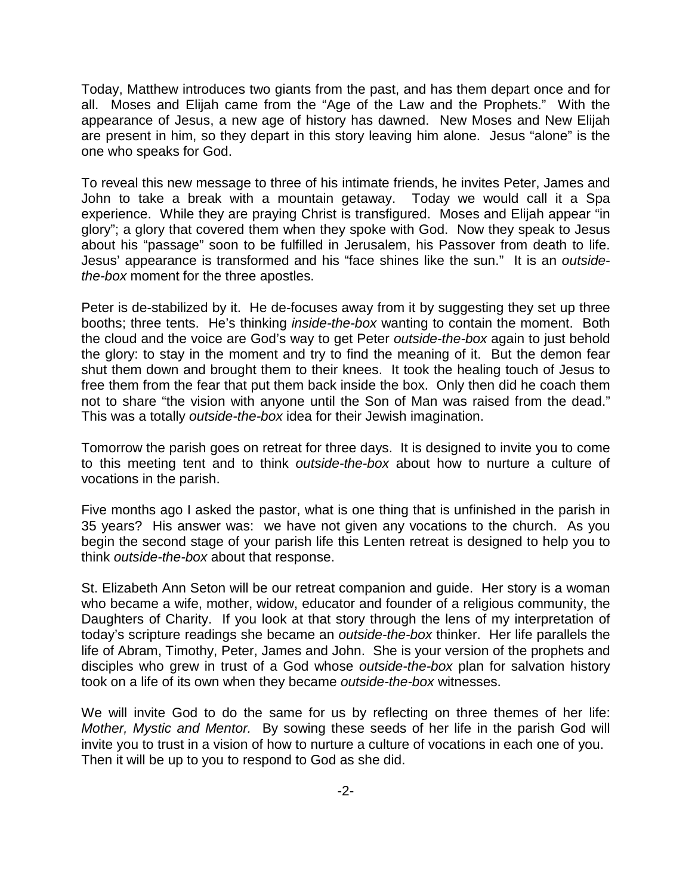Today, Matthew introduces two giants from the past, and has them depart once and for all. Moses and Elijah came from the "Age of the Law and the Prophets." With the appearance of Jesus, a new age of history has dawned. New Moses and New Elijah are present in him, so they depart in this story leaving him alone. Jesus "alone" is the one who speaks for God.

To reveal this new message to three of his intimate friends, he invites Peter, James and John to take a break with a mountain getaway. Today we would call it a Spa experience. While they are praying Christ is transfigured. Moses and Elijah appear "in glory"; a glory that covered them when they spoke with God. Now they speak to Jesus about his "passage" soon to be fulfilled in Jerusalem, his Passover from death to life. Jesus' appearance is transformed and his "face shines like the sun." It is an *outsidethe-box* moment for the three apostles.

Peter is de-stabilized by it. He de-focuses away from it by suggesting they set up three booths; three tents. He's thinking *inside-the-box* wanting to contain the moment. Both the cloud and the voice are God's way to get Peter *outside-the-box* again to just behold the glory: to stay in the moment and try to find the meaning of it. But the demon fear shut them down and brought them to their knees. It took the healing touch of Jesus to free them from the fear that put them back inside the box. Only then did he coach them not to share "the vision with anyone until the Son of Man was raised from the dead." This was a totally *outside-the-box* idea for their Jewish imagination.

Tomorrow the parish goes on retreat for three days. It is designed to invite you to come to this meeting tent and to think *outside-the-box* about how to nurture a culture of vocations in the parish.

Five months ago I asked the pastor, what is one thing that is unfinished in the parish in 35 years? His answer was: we have not given any vocations to the church. As you begin the second stage of your parish life this Lenten retreat is designed to help you to think *outside-the-box* about that response.

St. Elizabeth Ann Seton will be our retreat companion and guide. Her story is a woman who became a wife, mother, widow, educator and founder of a religious community, the Daughters of Charity. If you look at that story through the lens of my interpretation of today's scripture readings she became an *outside-the-box* thinker. Her life parallels the life of Abram, Timothy, Peter, James and John. She is your version of the prophets and disciples who grew in trust of a God whose *outside-the-box* plan for salvation history took on a life of its own when they became *outside-the-box* witnesses.

We will invite God to do the same for us by reflecting on three themes of her life: *Mother, Mystic and Mentor.* By sowing these seeds of her life in the parish God will invite you to trust in a vision of how to nurture a culture of vocations in each one of you. Then it will be up to you to respond to God as she did.